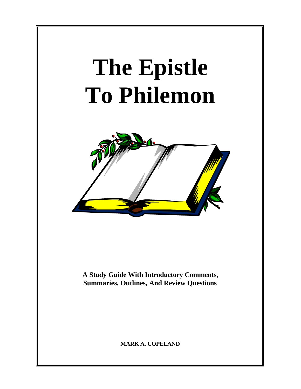# **The Epistle To Philemon**



**A Study Guide With Introductory Comments, Summaries, Outlines, And Review Questions**

**MARK A. COPELAND**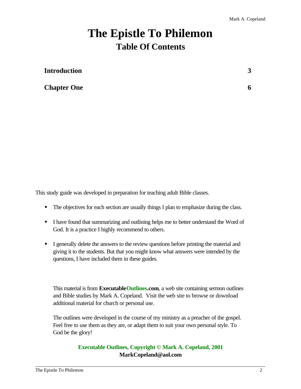# **The Epistle To Philemon Table Of Contents**

| <b>Introduction</b> |   |
|---------------------|---|
| <b>Chapter One</b>  | O |

This study guide was developed in preparation for teaching adult Bible classes.

- The objectives for each section are usually things I plan to emphasize during the class.
- I have found that summarizing and outlining helps me to better understand the Word of God. It is a practice I highly recommend to others.
- w I generally delete the answers to the review questions before printing the material and giving it to the students. But that you might know what answers were intended by the questions, I have included them in these guides.

This material is from **ExecutableOutlines.com**, a web site containing sermon outlines and Bible studies by Mark A. Copeland. Visit the web site to browse or download additional material for church or personal use.

The outlines were developed in the course of my ministry as a preacher of the gospel. Feel free to use them as they are, or adapt them to suit your own personal style. To God be the glory!

#### **Executable Outlines, Copyright © Mark A. Copeland, 2001 MarkCopeland@aol.com**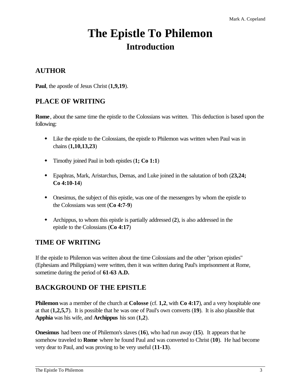# **The Epistle To Philemon Introduction**

# **AUTHOR**

**Paul**, the apostle of Jesus Christ (**1,9,19**).

# **PLACE OF WRITING**

**Rome**, about the same time the epistle to the Colossians was written. This deduction is based upon the following:

- w Like the epistle to the Colossians, the epistle to Philemon was written when Paul was in chains (**1,10,13,23**)
- w Timothy joined Paul in both epistles (**1; Co 1:1**)
- w Epaphras, Mark, Aristarchus, Demas, and Luke joined in the salutation of both (**23,24; Co 4:10-14**)
- w Onesimus, the subject of this epistle, was one of the messengers by whom the epistle to the Colossians was sent (**Co 4:7-9**)
- w Archippus, to whom this epistle is partially addressed (**2**), is also addressed in the epistle to the Colossians (**Co 4:17**)

# **TIME OF WRITING**

If the epistle to Philemon was written about the time Colossians and the other "prison epistles" (Ephesians and Philippians) were written, then it was written during Paul's imprisonment at Rome, sometime during the period of **61-63 A.D.**

# **BACKGROUND OF THE EPISTLE**

**Philemon** was a member of the church at **Colosse** (cf. 1,2, with **Co 4:17**), and a very hospitable one at that (**1,2,5,7**). It is possible that he was one of Paul's own converts (**19**). It is also plausible that **Apphia** was his wife, and **Archippus** his son (**1,2**).

**Onesimus** had been one of Philemon's slaves (**16**), who had run away (**15**). It appears that he somehow traveled to **Rome** where he found Paul and was converted to Christ (**10**). He had become very dear to Paul, and was proving to be very useful (**11-13**).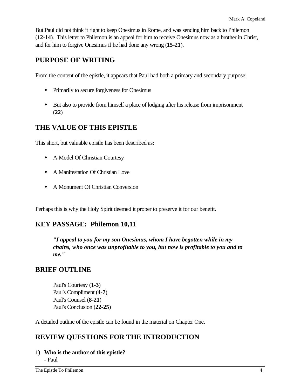But Paul did not think it right to keep Onesimus in Rome, and was sending him back to Philemon (**12-14**). This letter to Philemon is an appeal for him to receive Onesimus now as a brother in Christ, and for him to forgive Onesimus if he had done any wrong (**15-21**).

# **PURPOSE OF WRITING**

From the content of the epistle, it appears that Paul had both a primary and secondary purpose:

- Primarily to secure forgiveness for Onesimus
- w But also to provide from himself a place of lodging after his release from imprisonment (**22**)

# **THE VALUE OF THIS EPISTLE**

This short, but valuable epistle has been described as:

- **A Model Of Christian Courtesy**
- w A Manifestation Of Christian Love
- A Monument Of Christian Conversion

Perhaps this is why the Holy Spirit deemed it proper to preserve it for our benefit.

# **KEY PASSAGE: Philemon 10,11**

*"I appeal to you for my son Onesimus, whom I have begotten while in my chains, who once was unprofitable to you, but now is profitable to you and to me."*

# **BRIEF OUTLINE**

Paul's Courtesy (**1-3**) Paul's Compliment (**4-7**) Paul's Counsel (**8-21**) Paul's Conclusion (**22-25**)

A detailed outline of the epistle can be found in the material on Chapter One.

# **REVIEW QUESTIONS FOR THE INTRODUCTION**

**1) Who is the author of this epistle?**

- Paul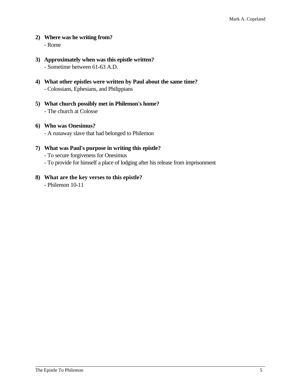#### **2) Where was he writing from?** - Rome

- **3) Approximately when was this epistle written?** - Sometime between 61-63 A.D.
- **4) What other epistles were written by Paul about the same time?** - Colossians, Ephesians, and Philippians
- **5) What church possibly met in Philemon's home?** - The church at Colosse
- **6) Who was Onesimus?** - A runaway slave that had belonged to Philemon
- **7) What was Paul's purpose in writing this epistle?** - To secure forgiveness for Onesimus - To provide for himself a place of lodging after his release from imprisonment
- **8) What are the key verses to this epistle?**
	- Philemon 10-11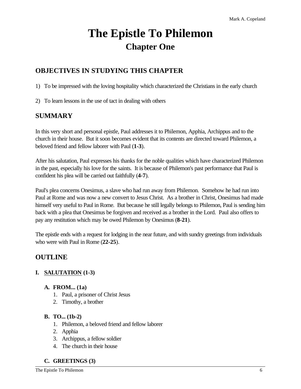# **The Epistle To Philemon Chapter One**

# **OBJECTIVES IN STUDYING THIS CHAPTER**

1) To be impressed with the loving hospitality which characterized the Christians in the early church

2) To learn lessons in the use of tact in dealing with others

# **SUMMARY**

In this very short and personal epistle, Paul addresses it to Philemon, Apphia, Archippus and to the church in their house. But it soon becomes evident that its contents are directed toward Philemon, a beloved friend and fellow laborer with Paul (**1-3**).

After his salutation, Paul expresses his thanks for the noble qualities which have characterized Philemon in the past, especially his love for the saints. It is because of Philemon's past performance that Paul is confident his plea will be carried out faithfully (**4-7**).

Paul's plea concerns Onesimus, a slave who had run away from Philemon. Somehow he had run into Paul at Rome and was now a new convert to Jesus Christ. As a brother in Christ, Onesimus had made himself very useful to Paul in Rome. But because he still legally belongs to Philemon, Paul is sending him back with a plea that Onesimus be forgiven and received as a brother in the Lord. Paul also offers to pay any restitution which may be owed Philemon by Onesimus (**8-21**).

The epistle ends with a request for lodging in the near future, and with sundry greetings from individuals who were with Paul in Rome (**22-25**).

# **OUTLINE**

# **I. SALUTATION (1-3)**

- **A. FROM... (1a)**
	- 1. Paul, a prisoner of Christ Jesus
	- 2. Timothy, a brother

# **B. TO... (1b-2)**

- 1. Philemon, a beloved friend and fellow laborer
- 2. Apphia
- 3. Archippus, a fellow soldier
- 4. The church in their house

# **C. GREETINGS (3)**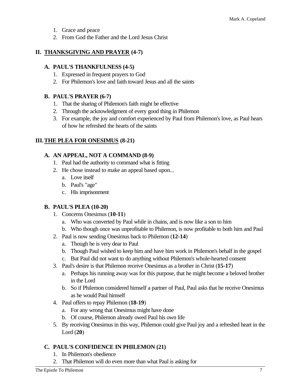- 1. Grace and peace
- 2. From God the Father and the Lord Jesus Christ

# **II. THANKSGIVING AND PRAYER (4-7)**

#### **A. PAUL'S THANKFULNESS (4-5)**

- 1. Expressed in frequent prayers to God
- 2. For Philemon's love and faith toward Jesus and all the saints

#### **B. PAUL'S PRAYER (6-7)**

- 1. That the sharing of Philemon's faith might be effective
- 2. Through the acknowledgment of every good thing in Philemon
- 3. For example, the joy and comfort experienced by Paul from Philemon's love, as Paul hears of how he refreshed the hearts of the saints

# **III.THE PLEA FOR ONESIMUS (8-21)**

#### **A. AN APPEAL, NOT A COMMAND (8-9)**

- 1. Paul had the authority to command what is fitting
- 2. He chose instead to make an appeal based upon...
	- a. Love itself
	- b. Paul's "age"
	- c. His imprisonment

# **B. PAUL'S PLEA (10-20)**

- 1. Concerns Onesimus (**10-11**)
	- a. Who was converted by Paul while in chains, and is now like a son to him
	- b. Who though once was unprofitable to Philemon, is now profitable to both him and Paul
- 2. Paul is now sending Onesimus back to Philemon (**12-14**)
	- a. Though he is very dear to Paul
	- b. Though Paul wished to keep him and have him work in Philemon's behalf in the gospel
	- c. But Paul did not want to do anything without Philemon's whole-hearted consent
- 3. Paul's desire is that Philemon receive Onesimus as a brother in Christ (**15-17**)
	- a. Perhaps his running away was for this purpose, that he might become a beloved brother in the Lord
	- b. So if Philemon considered himself a partner of Paul, Paul asks that he receive Onesimus as he would Paul himself
- 4. Paul offers to repay Philemon (**18-19**)
	- a. For any wrong that Onesimus might have done
	- b. Of course, Philemon already owed Paul his own life
- 5. By receiving Onesimus in this way, Philemon could give Paul joy and a refreshed heart in the Lord (**20**)

# **C. PAUL'S CONFIDENCE IN PHILEMON (21)**

- 1. In Philemon's obedience
- 2. That Philemon will do even more than what Paul is asking for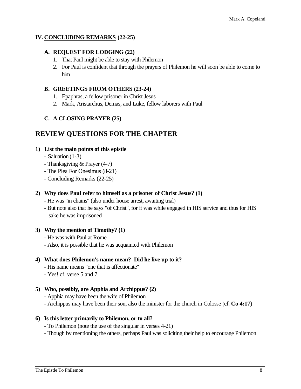#### **IV. CONCLUDING REMARKS (22-25)**

#### **A. REQUEST FOR LODGING (22)**

- 1. That Paul might be able to stay with Philemon
- 2. For Paul is confident that through the prayers of Philemon he will soon be able to come to him

#### **B. GREETINGS FROM OTHERS (23-24)**

- 1. Epaphras, a fellow prisoner in Christ Jesus
- 2. Mark, Aristarchus, Demas, and Luke, fellow laborers with Paul

#### **C. A CLOSING PRAYER (25)**

# **REVIEW QUESTIONS FOR THE CHAPTER**

#### **1) List the main points of this epistle**

- Saluation (1-3)
- Thanksgiving & Prayer (4-7)
- The Plea For Onesimus (8-21)
- Concluding Remarks (22-25)

#### **2) Why does Paul refer to himself as a prisoner of Christ Jesus? (1)**

- He was "in chains" (also under house arrest, awaiting trial)
- But note also that he says "of Christ", for it was while engaged in HIS service and thus for HIS sake he was imprisoned

#### **3) Why the mention of Timothy? (1)**

- He was with Paul at Rome
- Also, it is possible that he was acquainted with Philemon

#### **4) What does Philemon's name mean? Did he live up to it?**

- His name means "one that is affectionate"
- Yes! cf. verse 5 and 7

#### **5) Who, possibly, are Apphia and Archippus? (2)**

- Apphia may have been the wife of Philemon

- Archippus may have been their son, also the minister for the church in Colosse (cf. **Co 4:17**)

#### **6) Is this letter primarily to Philemon, or to all?**

- To Philemon (note the use of the singular in verses 4-21)
- Though by mentioning the others, perhaps Paul was soliciting their help to encourage Philemon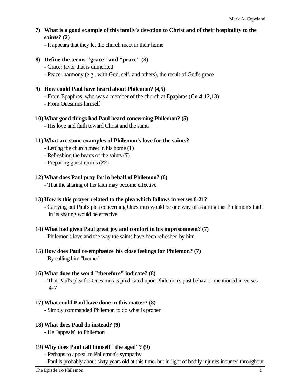**7) What is a good example of this family's devotion to Christ and of their hospitality to the saints? (2)**

- It appears that they let the church meet in their home

- **8) Define the terms "grace" and "peace" (3)**
	- Grace: favor that is unmerited
	- Peace: harmony (e.g., with God, self, and others), the result of God's grace

#### **9) How could Paul have heard about Philemon? (4,5)**

- From Epaphras, who was a member of the church at Epaphras (**Co 4:12,13**)
- From Onesimus himself

#### **10) What good things had Paul heard concerning Philemon? (5)**

- His love and faith toward Christ and the saints

#### **11) What are some examples of Philemon's love for the saints?**

- Letting the church meet in his home (**1**)
- Refreshing the hearts of the saints (**7**)
- Preparing guest rooms (**22**)

#### **12) What does Paul pray for in behalf of Philemon? (6)**

- That the sharing of his faith may become effective

#### **13) How is this prayer related to the plea which follows in verses 8-21?**

- Carrying out Paul's plea concerning Onesimus would be one way of assuring that Philemon's faith in its sharing would be effective

#### **14) What had given Paul great joy and comfort in his imprisonment? (7)**

- Philemon's love and the way the saints have been refreshed by him

# **15) How does Paul re-emphasize his close feelings for Philemon? (7)**

- By calling him "brother"

#### **16) What does the word "therefore" indicate? (8)**

- That Paul's plea for Onesimus is predicated upon Philemon's past behavior mentioned in verses 4-7

#### **17) What could Paul have done in this matter? (8)**

- Simply commanded Philemon to do what is proper

#### **18) What does Paul do instead? (9)**

- He "appeals" to Philemon

#### **19) Why does Paul call himself "the aged"? (9)**

- Perhaps to appeal to Philemon's sympathy

- Paul is probably about sixty years old at this time, but in light of bodily injuries incurred throughout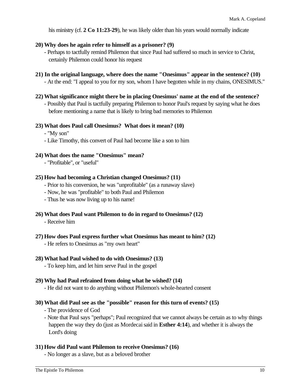his ministry (cf. 2 Co 11:23-29), he was likely older than his years would normally indicate

#### **20) Why does he again refer to himself as a prisoner? (9)**

- Perhaps to tactfully remind Philemon that since Paul had suffered so much in service to Christ, certainly Philemon could honor his request
- **21) In the original language, where does the name "Onesimus" appear in the sentence? (10)** - At the end: "I appeal to you for my son, whom I have begotten while in my chains, ONESIMUS."
- **22) What significance might there be in placing Onesimus' name at the end of the sentence?**
	- Possibly that Paul is tactfully preparing Philemon to honor Paul's request by saying what he does before mentioning a name that is likely to bring bad memories to Philemon

#### **23) What does Paul call Onesimus? What does it mean? (10)**

- "My son"
- Like Timothy, this convert of Paul had become like a son to him

#### **24) What does the name "Onesimus" mean?**

- "Profitable", or "useful"

#### **25) How had becoming a Christian changed Onesimus? (11)**

- Prior to his conversion, he was "unprofitable" (as a runaway slave)
- Now, he was "profitable" to both Paul and Philemon
- Thus he was now living up to his name!

#### **26) What does Paul want Philemon to do in regard to Onesimus? (12)**

- Receive him

#### **27) How does Paul express further what Onesimus has meant to him? (12)**

- He refers to Onesimus as "my own heart"

#### **28) What had Paul wished to do with Onesimus? (13)**

- To keep him, and let him serve Paul in the gospel

#### **29) Why had Paul refrained from doing what he wished? (14)**

- He did not want to do anything without Philemon's whole-hearted consent

#### **30) What did Paul see as the "possible" reason for this turn of events? (15)**

- The providence of God
- Note that Paul says "perhaps"; Paul recognized that we cannot always be certain as to why things happen the way they do (just as Mordecai said in **Esther 4:14**), and whether it is always the Lord's doing

#### **31) How did Paul want Philemon to receive Onesimus? (16)**

- No longer as a slave, but as a beloved brother